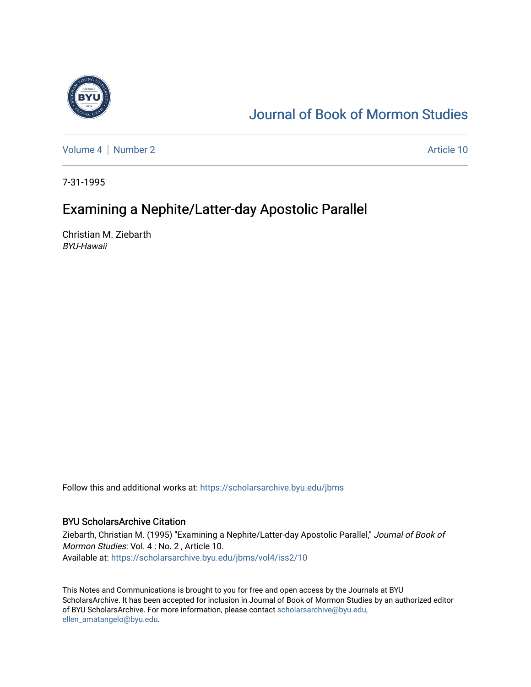

# [Journal of Book of Mormon Studies](https://scholarsarchive.byu.edu/jbms)

[Volume 4](https://scholarsarchive.byu.edu/jbms/vol4) | [Number 2](https://scholarsarchive.byu.edu/jbms/vol4/iss2) Article 10

7-31-1995

## Examining a Nephite/Latter-day Apostolic Parallel

Christian M. Ziebarth BYU-Hawaii

Follow this and additional works at: [https://scholarsarchive.byu.edu/jbms](https://scholarsarchive.byu.edu/jbms?utm_source=scholarsarchive.byu.edu%2Fjbms%2Fvol4%2Fiss2%2F10&utm_medium=PDF&utm_campaign=PDFCoverPages) 

### BYU ScholarsArchive Citation

Ziebarth, Christian M. (1995) "Examining a Nephite/Latter-day Apostolic Parallel," Journal of Book of Mormon Studies: Vol. 4 : No. 2 , Article 10. Available at: [https://scholarsarchive.byu.edu/jbms/vol4/iss2/10](https://scholarsarchive.byu.edu/jbms/vol4/iss2/10?utm_source=scholarsarchive.byu.edu%2Fjbms%2Fvol4%2Fiss2%2F10&utm_medium=PDF&utm_campaign=PDFCoverPages) 

This Notes and Communications is brought to you for free and open access by the Journals at BYU ScholarsArchive. It has been accepted for inclusion in Journal of Book of Mormon Studies by an authorized editor of BYU ScholarsArchive. For more information, please contact [scholarsarchive@byu.edu,](mailto:scholarsarchive@byu.edu,%20ellen_amatangelo@byu.edu) [ellen\\_amatangelo@byu.edu](mailto:scholarsarchive@byu.edu,%20ellen_amatangelo@byu.edu).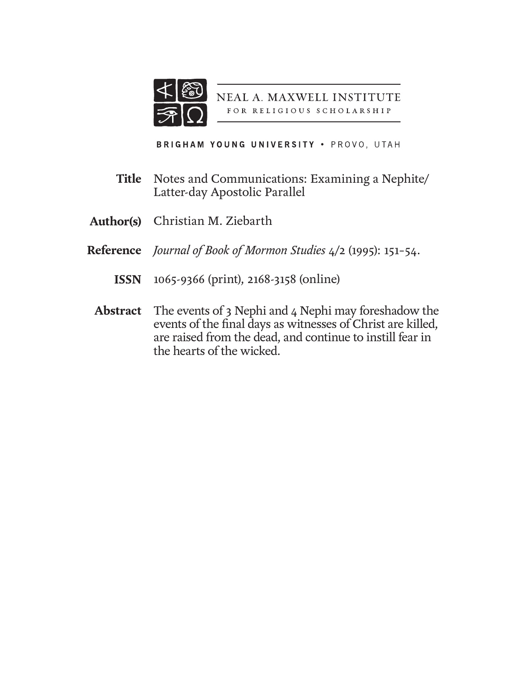

NEAL A. MAXWELL INSTITUTE FOR RELIGIOUS SCHOLARSHIP

BRIGHAM YOUNG UNIVERSITY . PROVO, UTAH

- Notes and Communications: Examining a Nephite/ Latter-day Apostolic Parallel **Title**
- Christian M. Ziebarth **Author(s)**
- *Journal of Book of Mormon Studies* 4/2 (1995): 151–54. **Reference**
	- 1065-9366 (print), 2168-3158 (online) **ISSN**
	- The events of 3 Nephi and 4 Nephi may foreshadow the events of the final days as witnesses of Christ are killed, are raised from the dead, and continue to instill fear in the hearts of the wicked. **Abstract**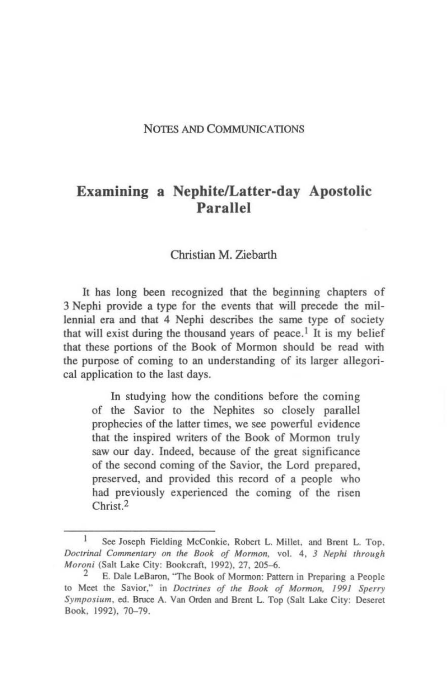#### NOTES AND COMMUNICATIONS

### Examining a Nephite/Latter-day Apostolic Parallel

#### Christian M. Ziebarth

It has long been recognized that the beginning chapters of 3 Nephi provide a type for the events that will precede the millennial era and that 4 Nephi describes the same type of society that will exist during the thousand years of peace.<sup>1</sup> It is my belief that these portions of the Book of Mormon should be read with the purpose of coming to an understanding of its larger allegorical application to the last days.

In studying how the conditions before the coming of the Savior to the Nephites so closely parallel prophecies of the latter times, we see powerful evidence that the inspired writers of the Book of Mormon truly saw our day. Indeed, because of the great significance of the second coming of the Savior, the Lord prepared, preserved, and provided this record of a people who had previously experienced the coming of the risen Christ.2

<sup>1</sup> See Joseph Fielding McConkie, Robert L, Millct, and Brent L. Top, *Doctrinal Commentary on the Book of Mormon, vol. 4, 3 Nephi through Moroni* (Salt Lake City: Bookcraft, 1992), 27, 205-6.

E. Dale LeBaron, "The Book of Mormon: Pattern in Preparing a People to Meet the Savior," in *Doctrines of the Book of Mormon*, 1991 Sperry *Symposium,* ed. Bruce A. Van Orden and Brent L. Top (Sail Lake City: Deseret Book. 1992), 70-79.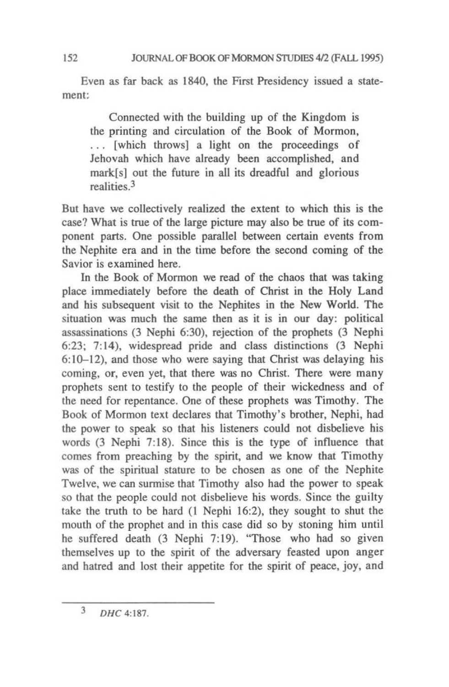Even as far back as 1840, the First Presidency issued a statement:

Connected with the building up of the Kingdom is the printing and circulation of the Book of Mormon, ... [which throws} a light on the proceedings of Jehovah which have already been accomplished, and mark[s] out the future in all its dreadful and glorious realities<sup>3</sup>

But have we collectively realized the extent to which this is the case? What is true of the large picture may also be true of its component parts. One possible parallel between certain events from the Nephite era and in the time before the second coming of the Savior is examined here.

In the Book of Mormon we read of the chaos that was taking place immediately before the death of Christ in the Holy Land and his subsequent visit to the Nephites in the New World. The situation was much the same then as it is in our day: political assassinations (3 Nephi 6:30), rejection of the prophets (3 Nephi 6:23; 7: 14), widespread pride and class distinctions (3 Nephi  $6:10-12$ ), and those who were saying that Christ was delaying his coming, or, even yet, that there was no Christ. There were many prophets sent to testify to the people of their wickedness and of the need for repentance. One of these prophets was Timothy. The Book of Mormon text declares that Timothy's brother, Nephi, had the power to speak so that his listeners could not disbelieve his words (3 Nephi 7:18). Since this is the type of influence that comes from preaching by the spirit. and we know that Timothy was of the spiritual stature to be chosen as one of the Nephite Twelve, we can surmise that Timothy also had the power to speak so that the people could not disbelieve his words. Since the guilty take the truth to be hard (1 Nephi 16:2), they sought to shut the mouth of the prophet and in this case did so by stoning him until he suffered death (3 Nephi 7:19). "Those who had so given themselves up to the spirit of the adversary feasted upon anger and hatred and lost their appetite for the spirit of peace, joy. and

3 *DHC 4:187.*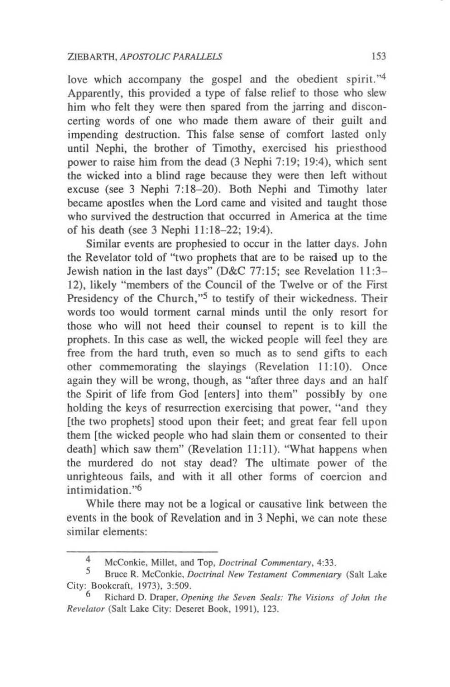love which accompany the gospel and the obedient spirit.''4 Apparently, this provided a type of false relief to those who slew him who felt they were then spared from the jarring and disconcerting words of one who made them aware of their guilt and impending destruction. This false sense of comfort lasted only until Nephi, the brother of Timothy, exercised his priesthood power to raise him from the dead (3 Nephi 7:19; 19:4), which sent the wicked into a blind rage because they were then left without excuse (see 3 Nephi 7:18-20). Both Nephi and Timothy later became apostles when the Lord came and visited and taught those who survived the destruction that occurred in America at the time of his death (see 3 Nephi 11 :18-22; 19:4).

Similar events are prophesied to occur in the latter days. John the Revelator told of "two prophets that are to be raised up to the Jewish nation in the last days" (D&C 77:15; see Revelation 11:3- 12), likely "members of the Council of the Twelve or of the First Presidency of the Church,"<sup>5</sup> to testify of their wickedness. Their words too would torment carnal minds until the only resort for those who will not heed their counsel to repent is to kill the prophets. In this case as well, the wicked people will feel they are free from the hard truth, even so much as to send gifts to each other commemorating the slayings (Revelation 11:10). Once again they wiIJ be wrong, though, as "after three days and an half the Spirit of life from God [enters] into them" possibly by one holding the keys of resurrection exercising that power, "and they [the two prophets] stood upon their feet; and great fear fell upon them [the wicked people who had slain them or consented to their death) which saw them" (Revelation 11:11). "What happens when the murdered do not stay dead? The ultimate power of the unrighteous fails, and with it all other forms of coercion and intimidation."<sup>6</sup>

While there may not be a logical or causative link between the events in the book of Revelation and in 3 Nephi, we can note these similar elements:

McConkie, Millet, and Top, *Doctrinal Commentary*, 4:33.<br>5 **Bruce B. McConkie,** *Doctrinal New Testament Commentan* 

Bruce R. McConkie, *Doctrinal New Testament Commentary* (Salt Lake City: Bookcraft, 1973). 3:509.

Richard D. Draper, *Opening the Seven Seals: The Visions of John the* Revelator (Salt Lake City: Deseret Book, 1991), 123.